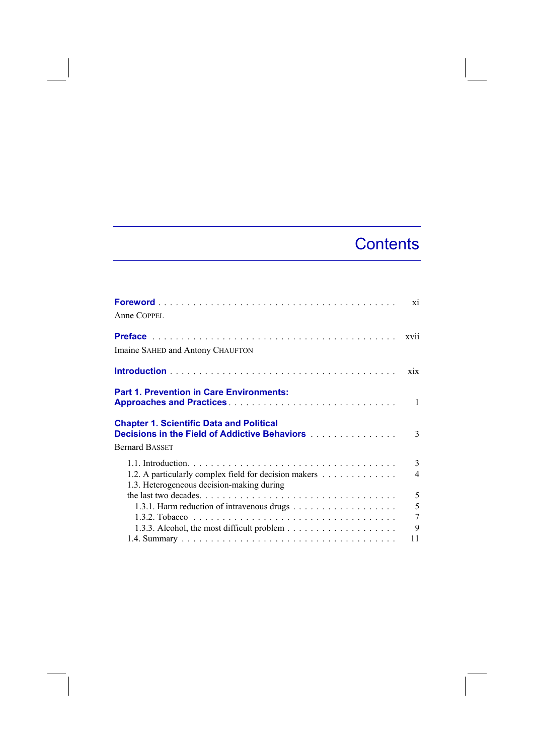## **Contents**

| Anne COPPEL                                                                                                                                                                | X1            |
|----------------------------------------------------------------------------------------------------------------------------------------------------------------------------|---------------|
| Imaine SAHED and Antony CHAUFTON                                                                                                                                           | xvii          |
|                                                                                                                                                                            | xix           |
| <b>Part 1. Prevention in Care Environments:</b>                                                                                                                            | 1             |
| <b>Chapter 1. Scientific Data and Political</b><br><b>Decisions in the Field of Addictive Behaviors [10] Additional Property Control Property</b><br><b>Bernard BASSET</b> | $\mathcal{E}$ |
|                                                                                                                                                                            | 3             |
| 1.2. A particularly complex field for decision makers<br>1.3. Heterogeneous decision-making during                                                                         | 4             |
|                                                                                                                                                                            | 5             |
|                                                                                                                                                                            | 5             |
|                                                                                                                                                                            | 7             |
| 1.3.3. Alcohol, the most difficult problem $\dots \dots \dots \dots \dots \dots \dots$                                                                                     | 9             |
|                                                                                                                                                                            | 11            |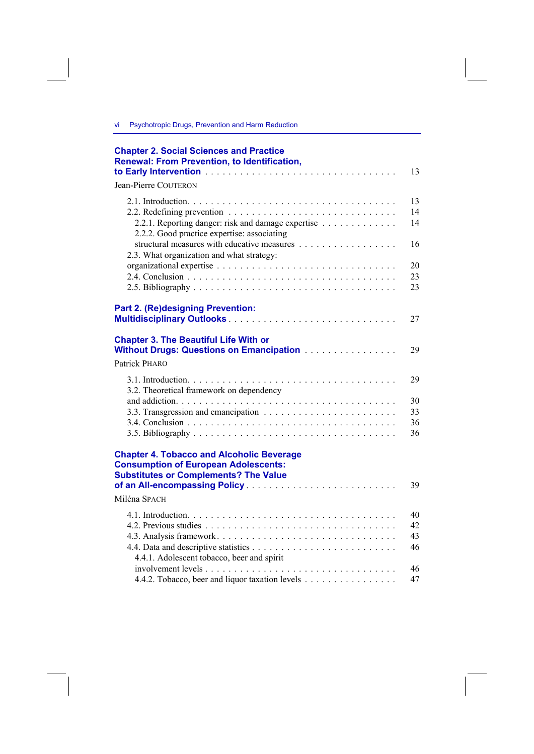vi Psychotropic Drugs, Prevention and Harm Reduction

| <b>Chapter 2. Social Sciences and Practice</b><br><b>Renewal: From Prevention, to Identification,</b>                                                                            | 13                   |
|----------------------------------------------------------------------------------------------------------------------------------------------------------------------------------|----------------------|
| <b>Jean-Pierre COUTERON</b>                                                                                                                                                      |                      |
| 2.2.1. Reporting danger: risk and damage expertise<br>2.2.2. Good practice expertise: associating                                                                                | 13<br>14<br>14       |
| structural measures with educative measures<br>2.3. What organization and what strategy:                                                                                         | 16                   |
|                                                                                                                                                                                  | 20<br>23<br>23       |
| Part 2. (Re)designing Prevention:                                                                                                                                                | 27                   |
| <b>Chapter 3. The Beautiful Life With or</b><br>Without Drugs: Questions on Emancipation                                                                                         | 29                   |
| Patrick PHARO                                                                                                                                                                    |                      |
| 3.2. Theoretical framework on dependency                                                                                                                                         | 29                   |
|                                                                                                                                                                                  | 30<br>33<br>36<br>36 |
| <b>Chapter 4. Tobacco and Alcoholic Beverage</b><br><b>Consumption of European Adolescents:</b><br><b>Substitutes or Complements? The Value</b><br>of an All-encompassing Policy | 39                   |
| Miléna SPACH                                                                                                                                                                     |                      |
|                                                                                                                                                                                  | 40                   |
|                                                                                                                                                                                  | 42                   |
| 4.4.1. Adolescent tobacco, beer and spirit                                                                                                                                       | 43<br>46             |
| 4.4.2. Tobacco, beer and liquor taxation levels                                                                                                                                  | 46<br>47             |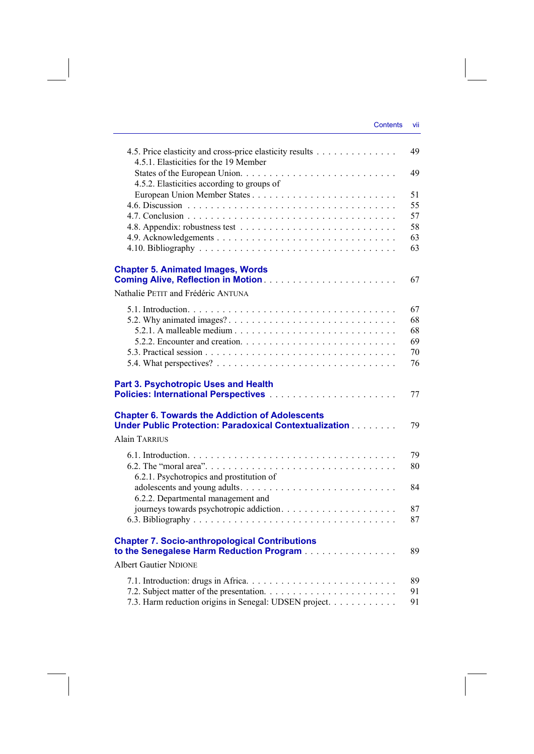| 4.5. Price elasticity and cross-price elasticity results<br>4.5.1. Elasticities for the 19 Member                     | 49 |
|-----------------------------------------------------------------------------------------------------------------------|----|
| 4.5.2. Elasticities according to groups of                                                                            | 49 |
|                                                                                                                       | 51 |
|                                                                                                                       | 55 |
|                                                                                                                       | 57 |
|                                                                                                                       | 58 |
|                                                                                                                       | 63 |
|                                                                                                                       | 63 |
| <b>Chapter 5. Animated Images, Words</b>                                                                              | 67 |
|                                                                                                                       |    |
| Nathalie PETIT and Frédéric ANTUNA                                                                                    |    |
|                                                                                                                       | 67 |
|                                                                                                                       | 68 |
|                                                                                                                       | 68 |
|                                                                                                                       | 69 |
|                                                                                                                       | 70 |
|                                                                                                                       | 76 |
| <b>Part 3. Psychotropic Uses and Health</b>                                                                           | 77 |
| <b>Chapter 6. Towards the Addiction of Adolescents</b><br>Under Public Protection: Paradoxical Contextualization [11] | 79 |
| Alain TARRIUS                                                                                                         |    |
|                                                                                                                       | 79 |
|                                                                                                                       | 80 |
| 6.2.1. Psychotropics and prostitution of                                                                              |    |
|                                                                                                                       | 84 |
| 6.2.2. Departmental management and                                                                                    |    |
|                                                                                                                       | 87 |
|                                                                                                                       | 87 |
| <b>Chapter 7. Socio-anthropological Contributions</b><br>to the Senegalese Harm Reduction Program                     | 89 |
| <b>Albert Gautier NDIONE</b>                                                                                          |    |
|                                                                                                                       | 89 |
|                                                                                                                       | 91 |
| 7.3. Harm reduction origins in Senegal: UDSEN project.                                                                | 91 |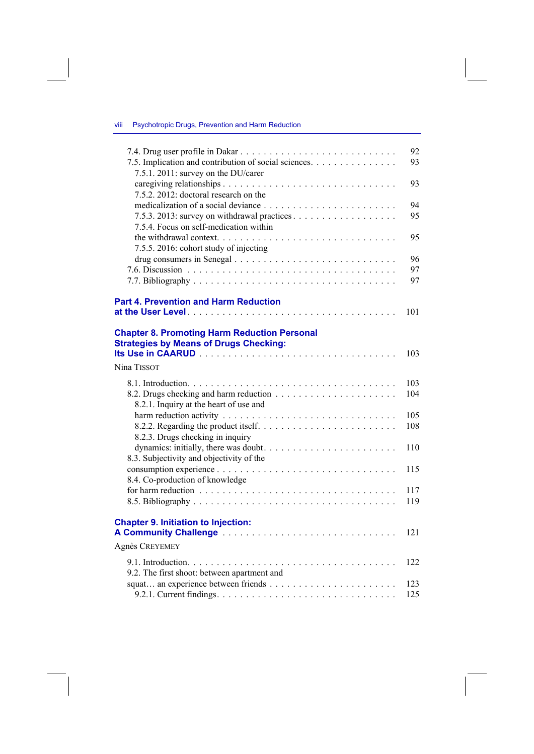| Psychotropic Drugs, Prevention and Harm Reduction | viii |  |  |  |  |  |
|---------------------------------------------------|------|--|--|--|--|--|
|---------------------------------------------------|------|--|--|--|--|--|

| 7.5. Implication and contribution of social sciences.<br>7.5.1. 2011: survey on the DU/carer                        | 92<br>93 |
|---------------------------------------------------------------------------------------------------------------------|----------|
| 7.5.2. 2012: doctoral research on the                                                                               | 93       |
|                                                                                                                     | 94       |
| 7.5.4. Focus on self-medication within                                                                              | 95       |
|                                                                                                                     | 95       |
| 7.5.5. 2016: cohort study of injecting                                                                              | 96       |
|                                                                                                                     | 97       |
|                                                                                                                     | 97       |
| <b>Part 4. Prevention and Harm Reduction</b>                                                                        |          |
|                                                                                                                     | 101      |
| <b>Chapter 8. Promoting Harm Reduction Personal</b><br><b>Strategies by Means of Drugs Checking:</b><br>Nina TISSOT | 103      |
|                                                                                                                     | 103      |
| 8.2.1. Inquiry at the heart of use and                                                                              | 104      |
|                                                                                                                     | 105      |
|                                                                                                                     | 108      |
| 8.2.3. Drugs checking in inquiry                                                                                    | 110      |
| 8.3. Subjectivity and objectivity of the                                                                            |          |
|                                                                                                                     | 115      |
| 8.4. Co-production of knowledge                                                                                     | 117      |
|                                                                                                                     | 119      |
| <b>Chapter 9. Initiation to Injection:</b>                                                                          | 121      |
| Agnès CREYEMEY                                                                                                      |          |
|                                                                                                                     | 122      |
| 9.2. The first shoot: between apartment and                                                                         |          |
|                                                                                                                     | 123      |
|                                                                                                                     | 125      |